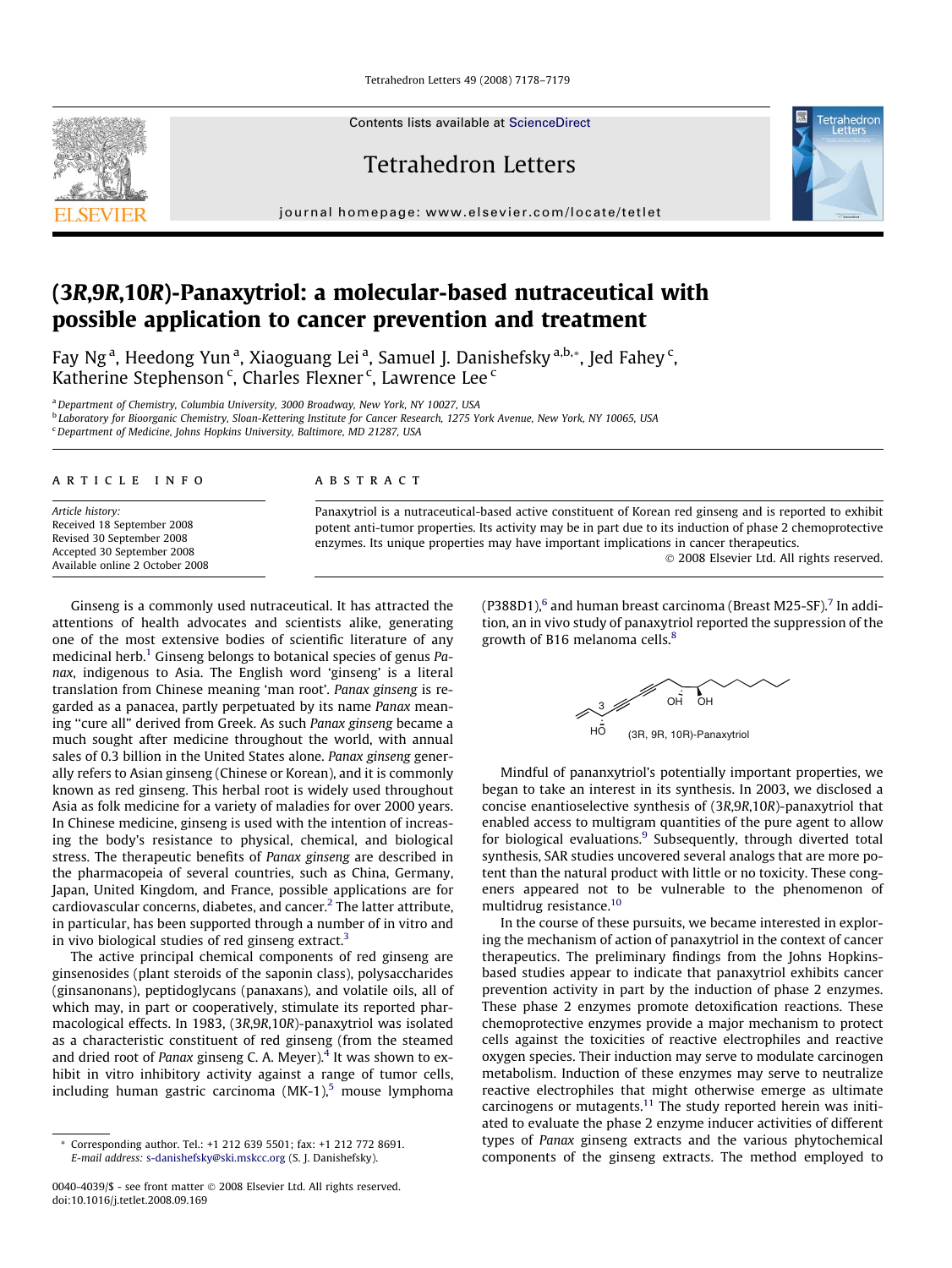Tetrahedron Letters 49 (2008) 7178–7179

Contents lists available at [ScienceDirect](http://www.sciencedirect.com/science/journal/00404039)

Tetrahedron Letters

journal homepage: [www.elsevier.com/locate/tetlet](http://www.elsevier.com/locate/tetlet)



# (3R,9R,10R)-Panaxytriol: a molecular-based nutraceutical with possible application to cancer prevention and treatment

Fay Ng<sup>a</sup>, Heedong Yun<sup>a</sup>, Xiaoguang Lei<sup>a</sup>, Samuel J. Danishefsky<sup>a,b,</sup>\*, Jed Fahey<sup>c</sup>, Katherine Stephenson $\mathrm{^c}$ , Charles Flexner $\mathrm{^c}$ , Lawrence Lee $\mathrm{^c}$ 

<sup>a</sup> Department of Chemistry, Columbia University, 3000 Broadway, New York, NY 10027, USA

<sup>b</sup> Laboratory for Bioorganic Chemistry, Sloan-Kettering Institute for Cancer Research, 1275 York Avenue, New York, NY 10065, USA <sup>c</sup> Department of Medicine, Johns Hopkins University, Baltimore, MD 21287, USA

#### article info

Article history: Received 18 September 2008 Revised 30 September 2008 Accepted 30 September 2008 Available online 2 October 2008

#### **ABSTRACT**

Panaxytriol is a nutraceutical-based active constituent of Korean red ginseng and is reported to exhibit potent anti-tumor properties. Its activity may be in part due to its induction of phase 2 chemoprotective enzymes. Its unique properties may have important implications in cancer therapeutics.

- 2008 Elsevier Ltd. All rights reserved.

Ginseng is a commonly used nutraceutical. It has attracted the attentions of health advocates and scientists alike, generating one of the most extensive bodies of scientific literature of any medicinal herb.<sup>1</sup> Ginseng belongs to botanical species of genus Panax, indigenous to Asia. The English word 'ginseng' is a literal translation from Chinese meaning 'man root'. Panax ginseng is regarded as a panacea, partly perpetuated by its name Panax meaning ''cure all" derived from Greek. As such Panax ginseng became a much sought after medicine throughout the world, with annual sales of 0.3 billion in the United States alone. Panax ginseng generally refers to Asian ginseng (Chinese or Korean), and it is commonly known as red ginseng. This herbal root is widely used throughout Asia as folk medicine for a variety of maladies for over 2000 years. In Chinese medicine, ginseng is used with the intention of increasing the body's resistance to physical, chemical, and biological stress. The therapeutic benefits of Panax ginseng are described in the pharmacopeia of several countries, such as China, Germany, Japan, United Kingdom, and France, possible applications are for cardiovascular concerns, diabetes, and cancer.[2](#page-1-0) The latter attribute, in particular, has been supported through a number of in vitro and in vivo biological studies of red ginseng extract.<sup>3</sup>

The active principal chemical components of red ginseng are ginsenosides (plant steroids of the saponin class), polysaccharides (ginsanonans), peptidoglycans (panaxans), and volatile oils, all of which may, in part or cooperatively, stimulate its reported pharmacological effects. In 1983, (3R,9R,10R)-panaxytriol was isolated as a characteristic constituent of red ginseng (from the steamed and dried root of Panax ginseng C. A. Meyer). $4$  It was shown to exhibit in vitro inhibitory activity against a range of tumor cells, including human gastric carcinoma  $(MK-1)$ <sup>[5](#page-1-0)</sup> mouse lymphoma (P388D1), $<sup>6</sup>$  $<sup>6</sup>$  $<sup>6</sup>$  and human breast carcinoma (Breast M25-SF).<sup>[7](#page-1-0)</sup> In addi-</sup> tion, an in vivo study of panaxytriol reported the suppression of the growth of B16 melanoma cells.<sup>8</sup>



Mindful of pananxytriol's potentially important properties, we began to take an interest in its synthesis. In 2003, we disclosed a concise enantioselective synthesis of (3R,9R,10R)-panaxytriol that enabled access to multigram quantities of the pure agent to allow for biological evaluations. $9$  Subsequently, through diverted total synthesis, SAR studies uncovered several analogs that are more potent than the natural product with little or no toxicity. These congeners appeared not to be vulnerable to the phenomenon of multidrug resistance[.10](#page-1-0)

In the course of these pursuits, we became interested in exploring the mechanism of action of panaxytriol in the context of cancer therapeutics. The preliminary findings from the Johns Hopkinsbased studies appear to indicate that panaxytriol exhibits cancer prevention activity in part by the induction of phase 2 enzymes. These phase 2 enzymes promote detoxification reactions. These chemoprotective enzymes provide a major mechanism to protect cells against the toxicities of reactive electrophiles and reactive oxygen species. Their induction may serve to modulate carcinogen metabolism. Induction of these enzymes may serve to neutralize reactive electrophiles that might otherwise emerge as ultimate carcinogens or mutagents.<sup>11</sup> The study reported herein was initiated to evaluate the phase 2 enzyme inducer activities of different types of Panax ginseng extracts and the various phytochemical components of the ginseng extracts. The method employed to

<sup>\*</sup> Corresponding author. Tel.: +1 212 639 5501; fax: +1 212 772 8691. E-mail address: [s-danishefsky@ski.mskcc.org](mailto:s-danishefsky@ski.mskcc.org) (S. J. Danishefsky).

<sup>0040-4039/\$ -</sup> see front matter © 2008 Elsevier Ltd. All rights reserved. doi:10.1016/j.tetlet.2008.09.169